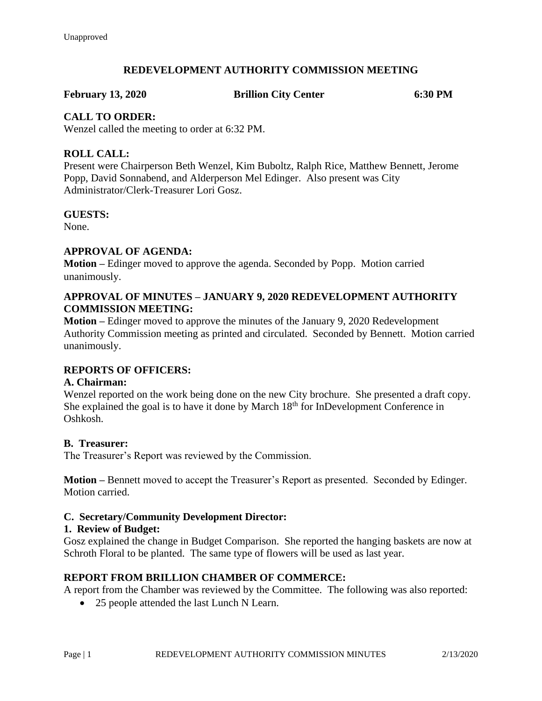## **REDEVELOPMENT AUTHORITY COMMISSION MEETING**

**February 13, 2020 Brillion City Center 6:30 PM**

## **CALL TO ORDER:**

Wenzel called the meeting to order at 6:32 PM.

## **ROLL CALL:**

Present were Chairperson Beth Wenzel, Kim Buboltz, Ralph Rice, Matthew Bennett, Jerome Popp, David Sonnabend, and Alderperson Mel Edinger. Also present was City Administrator/Clerk-Treasurer Lori Gosz.

## **GUESTS:**

None.

## **APPROVAL OF AGENDA:**

**Motion –** Edinger moved to approve the agenda. Seconded by Popp. Motion carried unanimously.

## **APPROVAL OF MINUTES – JANUARY 9, 2020 REDEVELOPMENT AUTHORITY COMMISSION MEETING:**

**Motion –** Edinger moved to approve the minutes of the January 9, 2020 Redevelopment Authority Commission meeting as printed and circulated. Seconded by Bennett. Motion carried unanimously.

## **REPORTS OF OFFICERS:**

## **A. Chairman:**

Wenzel reported on the work being done on the new City brochure. She presented a draft copy. She explained the goal is to have it done by March  $18<sup>th</sup>$  for InDevelopment Conference in Oshkosh.

## **B. Treasurer:**

The Treasurer's Report was reviewed by the Commission.

**Motion –** Bennett moved to accept the Treasurer's Report as presented. Seconded by Edinger. Motion carried.

## **C. Secretary/Community Development Director:**

## **1. Review of Budget:**

Gosz explained the change in Budget Comparison. She reported the hanging baskets are now at Schroth Floral to be planted. The same type of flowers will be used as last year.

## **REPORT FROM BRILLION CHAMBER OF COMMERCE:**

A report from the Chamber was reviewed by the Committee. The following was also reported:

• 25 people attended the last Lunch N Learn.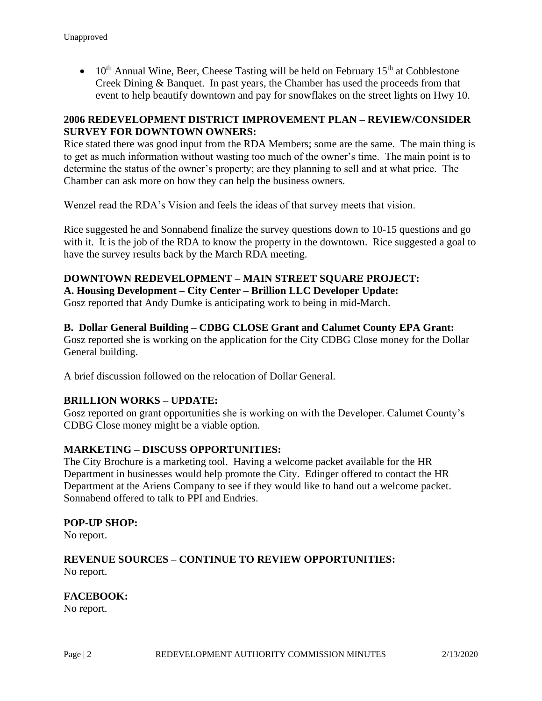•  $10^{th}$  Annual Wine, Beer, Cheese Tasting will be held on February  $15^{th}$  at Cobblestone Creek Dining & Banquet. In past years, the Chamber has used the proceeds from that event to help beautify downtown and pay for snowflakes on the street lights on Hwy 10.

## **2006 REDEVELOPMENT DISTRICT IMPROVEMENT PLAN – REVIEW/CONSIDER SURVEY FOR DOWNTOWN OWNERS:**

Rice stated there was good input from the RDA Members; some are the same. The main thing is to get as much information without wasting too much of the owner's time. The main point is to determine the status of the owner's property; are they planning to sell and at what price. The Chamber can ask more on how they can help the business owners.

Wenzel read the RDA's Vision and feels the ideas of that survey meets that vision.

Rice suggested he and Sonnabend finalize the survey questions down to 10-15 questions and go with it. It is the job of the RDA to know the property in the downtown. Rice suggested a goal to have the survey results back by the March RDA meeting.

## **DOWNTOWN REDEVELOPMENT – MAIN STREET SQUARE PROJECT:**

**A. Housing Development – City Center – Brillion LLC Developer Update:** Gosz reported that Andy Dumke is anticipating work to being in mid-March.

## **B. Dollar General Building – CDBG CLOSE Grant and Calumet County EPA Grant:**

Gosz reported she is working on the application for the City CDBG Close money for the Dollar General building.

A brief discussion followed on the relocation of Dollar General.

## **BRILLION WORKS – UPDATE:**

Gosz reported on grant opportunities she is working on with the Developer. Calumet County's CDBG Close money might be a viable option.

## **MARKETING – DISCUSS OPPORTUNITIES:**

The City Brochure is a marketing tool. Having a welcome packet available for the HR Department in businesses would help promote the City. Edinger offered to contact the HR Department at the Ariens Company to see if they would like to hand out a welcome packet. Sonnabend offered to talk to PPI and Endries.

#### **POP-UP SHOP:**

No report.

## **REVENUE SOURCES – CONTINUE TO REVIEW OPPORTUNITIES:** No report.

## **FACEBOOK:**

No report.